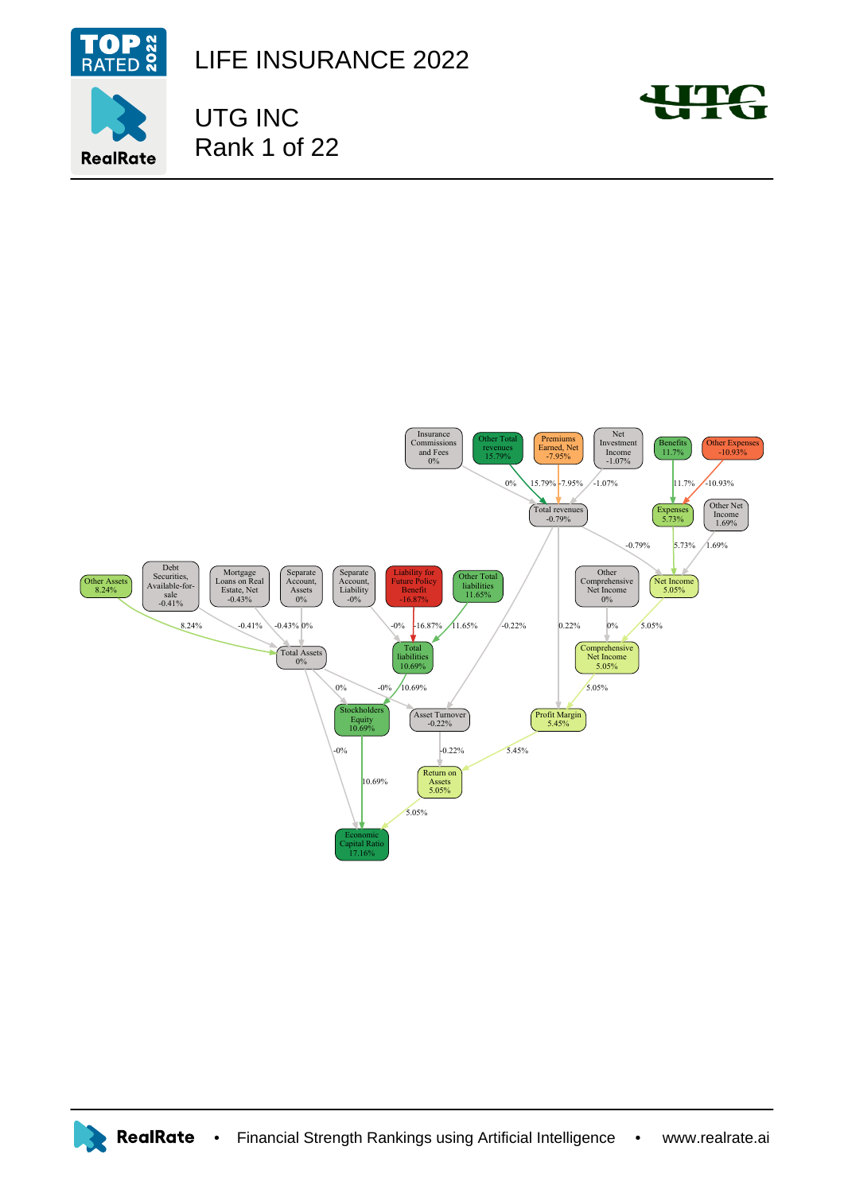

**RealRate** 

LIFE INSURANCE 2022